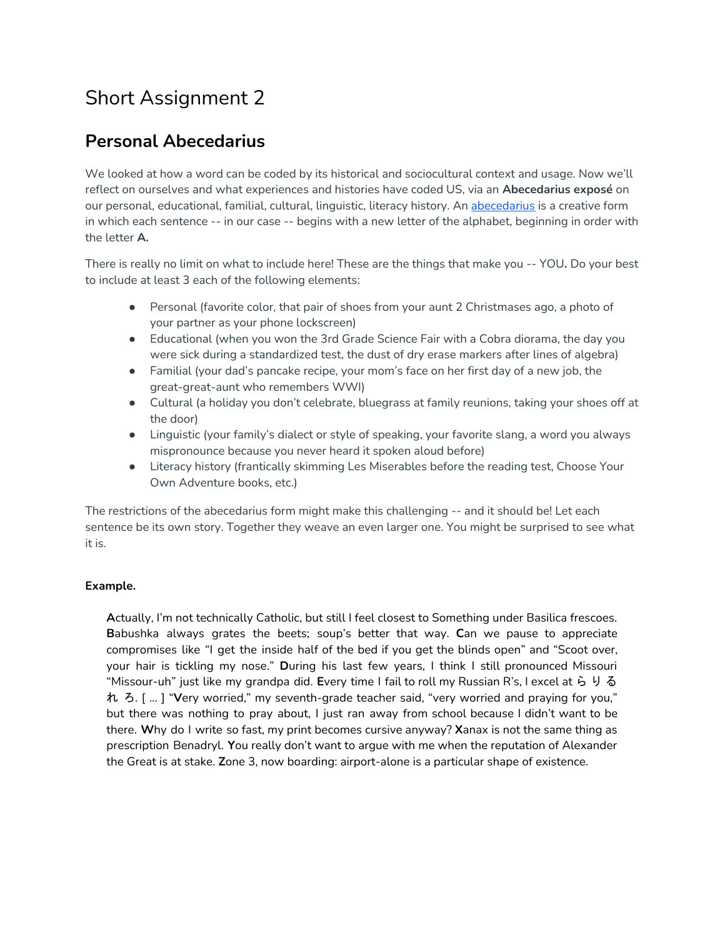# Short Assignment 2

# **Personal Abecedarius**

We looked at how a word can be coded by its historical and sociocultural context and usage. Now we'll reflect on ourselves and what experiences and histories have coded US, via an **Abecedarius exposé** on our personal, educational, familial, cultural, linguistic, literacy history. An [abecedarius](https://en.wikipedia.org/wiki/Abecedarius) is a creative form in which each sentence -- in our case -- begins with a new letter of the alphabet, beginning in order with the letter **A.**

There is really no limit on what to include here! These are the things that make you -- YOU**.** Do your best to include at least 3 each of the following elements:

- Personal (favorite color, that pair of shoes from your aunt 2 Christmases ago, a photo of your partner as your phone lockscreen)
- Educational (when you won the 3rd Grade Science Fair with a Cobra diorama, the day you were sick during a standardized test, the dust of dry erase markers after lines of algebra)
- Familial (your dad's pancake recipe, your mom's face on her first day of a new job, the great-great-aunt who remembers WWI)
- Cultural (a holiday you don't celebrate, bluegrass at family reunions, taking your shoes off at the door)
- Linguistic (your family's dialect or style of speaking, your favorite slang, a word you always mispronounce because you never heard it spoken aloud before)
- Literacy history (frantically skimming Les Miserables before the reading test, Choose Your Own Adventure books, etc.)

The restrictions of the abecedarius form might make this challenging -- and it should be! Let each sentence be its own story. Together they weave an even larger one. You might be surprised to see what it is.

## **Example.**

**A**ctually, I'm not technically Catholic, but still I feel closest to Something under Basilica frescoes. **B**abushka always grates the beets; soup's better that way. **C**an we pause to appreciate compromises like "I get the inside half of the bed if you get the blinds open" and "Scoot over, your hair is tickling my nose." **D**uring his last few years, I think I still pronounced Missouri "Missour-uh" just like my grandpa did. **E**very time I fail to roll my Russian R's, I excel at ら り る れ ろ. [ … ] "**V**ery worried," my seventh-grade teacher said, "very worried and praying for you," but there was nothing to pray about, I just ran away from school because I didn't want to be there. **W**hy do I write so fast, my print becomes cursive anyway? **X**anax is not the same thing as prescription Benadryl. **Y**ou really don't want to argue with me when the reputation of Alexander the Great is at stake. **Z**one 3, now boarding: airport-alone is a particular shape of existence.